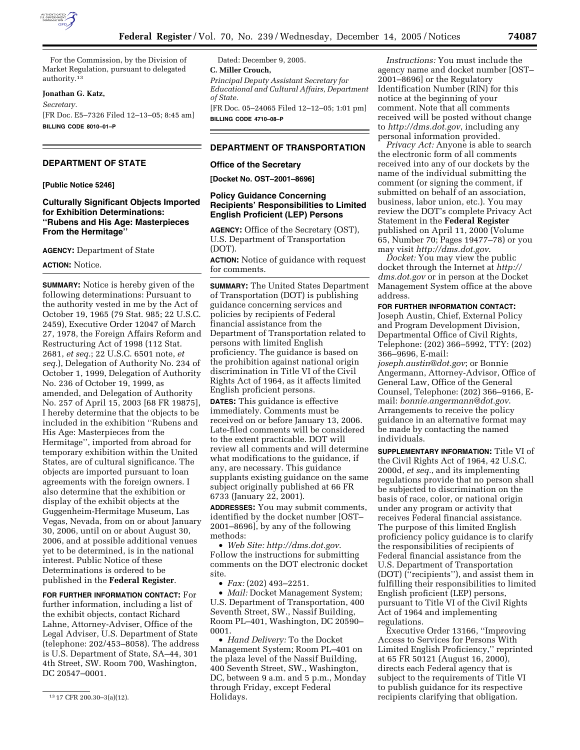

For the Commission, by the Division of Market Regulation, pursuant to delegated authority.13

### **Jonathan G. Katz,**

*Secretary.* 

[FR Doc. E5–7326 Filed 12–13–05; 8:45 am] **BILLING CODE 8010–01–P** 

# **DEPARTMENT OF STATE**

**[Public Notice 5246]** 

# **Culturally Significant Objects Imported for Exhibition Determinations: ''Rubens and His Age: Masterpieces From the Hermitage''**

**AGENCY:** Department of State

#### **ACTION:** Notice.

**SUMMARY:** Notice is hereby given of the following determinations: Pursuant to the authority vested in me by the Act of October 19, 1965 (79 Stat. 985; 22 U.S.C. 2459), Executive Order 12047 of March 27, 1978, the Foreign Affairs Reform and Restructuring Act of 1998 (112 Stat. 2681, *et seq.*; 22 U.S.C. 6501 note, *et seq.*), Delegation of Authority No. 234 of October 1, 1999, Delegation of Authority No. 236 of October 19, 1999, as amended, and Delegation of Authority No. 257 of April 15, 2003 [68 FR 19875], I hereby determine that the objects to be included in the exhibition ''Rubens and His Age: Masterpieces from the Hermitage'', imported from abroad for temporary exhibition within the United States, are of cultural significance. The objects are imported pursuant to loan agreements with the foreign owners. I also determine that the exhibition or display of the exhibit objects at the Guggenheim-Hermitage Museum, Las Vegas, Nevada, from on or about January 30, 2006, until on or about August 30, 2006, and at possible additional venues yet to be determined, is in the national interest. Public Notice of these Determinations is ordered to be published in the **Federal Register**.

**FOR FURTHER INFORMATION CONTACT:** For further information, including a list of the exhibit objects, contact Richard Lahne, Attorney-Adviser, Office of the Legal Adviser, U.S. Department of State (telephone: 202/453–8058). The address is U.S. Department of State, SA–44, 301 4th Street, SW. Room 700, Washington, DC 20547–0001.

Dated: December 9, 2005.

#### **C. Miller Crouch,**

*Principal Deputy Assistant Secretary for Educational and Cultural Affairs, Department of State.*  [FR Doc. 05–24065 Filed 12–12–05; 1:01 pm]

**BILLING CODE 4710–08–P** 

# **DEPARTMENT OF TRANSPORTATION**

### **Office of the Secretary**

**[Docket No. OST–2001–8696]** 

# **Policy Guidance Concerning Recipients' Responsibilities to Limited English Proficient (LEP) Persons**

**AGENCY:** Office of the Secretary (OST), U.S. Department of Transportation (DOT).

**ACTION:** Notice of guidance with request for comments.

**SUMMARY:** The United States Department of Transportation (DOT) is publishing guidance concerning services and policies by recipients of Federal financial assistance from the Department of Transportation related to persons with limited English proficiency. The guidance is based on the prohibition against national origin discrimination in Title VI of the Civil Rights Act of 1964, as it affects limited English proficient persons.

**DATES:** This guidance is effective immediately. Comments must be received on or before January 13, 2006. Late-filed comments will be considered to the extent practicable. DOT will review all comments and will determine what modifications to the guidance, if any, are necessary. This guidance supplants existing guidance on the same subject originally published at 66 FR 6733 (January 22, 2001).

**ADDRESSES:** You may submit comments, identified by the docket number [OST– 2001–8696], by any of the following methods:

• *Web Site: http://dms.dot.gov*. Follow the instructions for submitting comments on the DOT electronic docket site.

• *Fax:* (202) 493–2251.

• *Mail:* Docket Management System; U.S. Department of Transportation, 400 Seventh Street, SW., Nassif Building, Room PL–401, Washington, DC 20590– 0001.

• *Hand Delivery:* To the Docket Management System; Room PL–401 on the plaza level of the Nassif Building, 400 Seventh Street, SW., Washington, DC, between 9 a.m. and 5 p.m., Monday through Friday, except Federal Holidays.

*Instructions:* You must include the agency name and docket number [OST– 2001–8696] or the Regulatory Identification Number (RIN) for this notice at the beginning of your comment. Note that all comments received will be posted without change to *http://dms.dot.gov*, including any personal information provided.

*Privacy Act:* Anyone is able to search the electronic form of all comments received into any of our dockets by the name of the individual submitting the comment (or signing the comment, if submitted on behalf of an association, business, labor union, etc.). You may review the DOT's complete Privacy Act Statement in the **Federal Register**  published on April 11, 2000 (Volume 65, Number 70; Pages 19477–78) or you may visit *http://dms.dot.gov*.

*Docket:* You may view the public docket through the Internet at *http:// dms.dot.gov* or in person at the Docket Management System office at the above address.

**FOR FURTHER INFORMATION CONTACT:**  Joseph Austin, Chief, External Policy and Program Development Division, Departmental Office of Civil Rights, Telephone: (202) 366–5992, TTY: (202) 366–9696, E-mail:

*joseph.austin@dot.gov*; or Bonnie Angermann, Attorney-Advisor, Office of General Law, Office of the General Counsel, Telephone: (202) 366–9166, Email: *bonnie.angermann@dot.gov*. Arrangements to receive the policy guidance in an alternative format may be made by contacting the named individuals.

**SUPPLEMENTARY INFORMATION:** Title VI of the Civil Rights Act of 1964, 42 U.S.C. 2000d, *et seq.*, and its implementing regulations provide that no person shall be subjected to discrimination on the basis of race, color, or national origin under any program or activity that receives Federal financial assistance. The purpose of this limited English proficiency policy guidance is to clarify the responsibilities of recipients of Federal financial assistance from the U.S. Department of Transportation (DOT) (''recipients''), and assist them in fulfilling their responsibilities to limited English proficient (LEP) persons, pursuant to Title VI of the Civil Rights Act of 1964 and implementing regulations.

Executive Order 13166, ''Improving Access to Services for Persons With Limited English Proficiency,'' reprinted at 65 FR 50121 (August 16, 2000), directs each Federal agency that is subject to the requirements of Title VI to publish guidance for its respective recipients clarifying that obligation.

<sup>13</sup> 17 CFR 200.30–3(a)(12).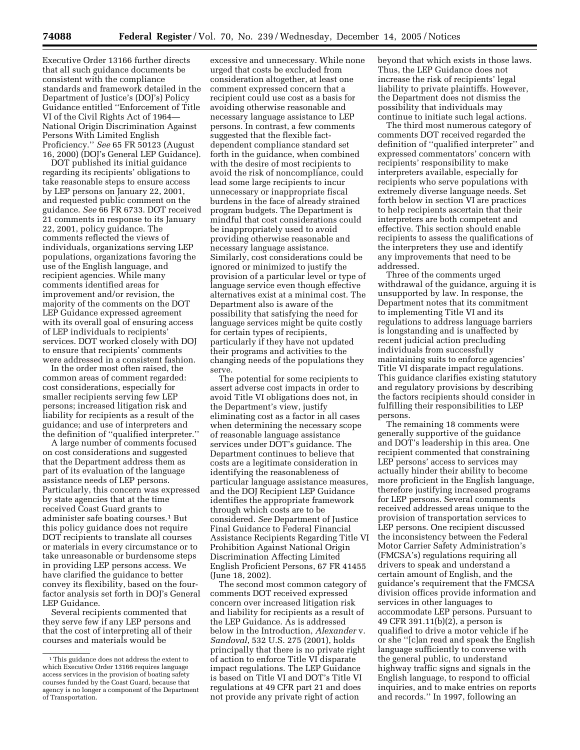Executive Order 13166 further directs that all such guidance documents be consistent with the compliance standards and framework detailed in the Department of Justice's (DOJ's) Policy Guidance entitled ''Enforcement of Title VI of the Civil Rights Act of 1964— National Origin Discrimination Against Persons With Limited English Proficiency.'' *See* 65 FR 50123 (August 16, 2000) (DOJ's General LEP Guidance).

DOT published its initial guidance regarding its recipients' obligations to take reasonable steps to ensure access by LEP persons on January 22, 2001, and requested public comment on the guidance. *See* 66 FR 6733. DOT received 21 comments in response to its January 22, 2001, policy guidance. The comments reflected the views of individuals, organizations serving LEP populations, organizations favoring the use of the English language, and recipient agencies. While many comments identified areas for improvement and/or revision, the majority of the comments on the DOT LEP Guidance expressed agreement with its overall goal of ensuring access of LEP individuals to recipients' services. DOT worked closely with DOJ to ensure that recipients' comments were addressed in a consistent fashion.

In the order most often raised, the common areas of comment regarded: cost considerations, especially for smaller recipients serving few LEP persons; increased litigation risk and liability for recipients as a result of the guidance; and use of interpreters and the definition of ''qualified interpreter.''

A large number of comments focused on cost considerations and suggested that the Department address them as part of its evaluation of the language assistance needs of LEP persons. Particularly, this concern was expressed by state agencies that at the time received Coast Guard grants to administer safe boating courses.1 But this policy guidance does not require DOT recipients to translate all courses or materials in every circumstance or to take unreasonable or burdensome steps in providing LEP persons access. We have clarified the guidance to better convey its flexibility, based on the fourfactor analysis set forth in DOJ's General LEP Guidance.

Several recipients commented that they serve few if any LEP persons and that the cost of interpreting all of their courses and materials would be

excessive and unnecessary. While none urged that costs be excluded from consideration altogether, at least one comment expressed concern that a recipient could use cost as a basis for avoiding otherwise reasonable and necessary language assistance to LEP persons. In contrast, a few comments suggested that the flexible factdependent compliance standard set forth in the guidance, when combined with the desire of most recipients to avoid the risk of noncompliance, could lead some large recipients to incur unnecessary or inappropriate fiscal burdens in the face of already strained program budgets. The Department is mindful that cost considerations could be inappropriately used to avoid providing otherwise reasonable and necessary language assistance. Similarly, cost considerations could be ignored or minimized to justify the provision of a particular level or type of language service even though effective alternatives exist at a minimal cost. The Department also is aware of the possibility that satisfying the need for language services might be quite costly for certain types of recipients, particularly if they have not updated their programs and activities to the changing needs of the populations they serve.

The potential for some recipients to assert adverse cost impacts in order to avoid Title VI obligations does not, in the Department's view, justify eliminating cost as a factor in all cases when determining the necessary scope of reasonable language assistance services under DOT's guidance. The Department continues to believe that costs are a legitimate consideration in identifying the reasonableness of particular language assistance measures, and the DOJ Recipient LEP Guidance identifies the appropriate framework through which costs are to be considered. *See* Department of Justice Final Guidance to Federal Financial Assistance Recipients Regarding Title VI Prohibition Against National Origin Discrimination Affecting Limited English Proficient Persons, 67 FR 41455 (June 18, 2002).

The second most common category of comments DOT received expressed concern over increased litigation risk and liability for recipients as a result of the LEP Guidance. As is addressed below in the Introduction, *Alexander* v. *Sandoval*, 532 U.S. 275 (2001), holds principally that there is no private right of action to enforce Title VI disparate impact regulations. The LEP Guidance is based on Title VI and DOT's Title VI regulations at 49 CFR part 21 and does not provide any private right of action

beyond that which exists in those laws. Thus, the LEP Guidance does not increase the risk of recipients' legal liability to private plaintiffs. However, the Department does not dismiss the possibility that individuals may continue to initiate such legal actions.

The third most numerous category of comments DOT received regarded the definition of ''qualified interpreter'' and expressed commentators' concern with recipients' responsibility to make interpreters available, especially for recipients who serve populations with extremely diverse language needs. Set forth below in section VI are practices to help recipients ascertain that their interpreters are both competent and effective. This section should enable recipients to assess the qualifications of the interpreters they use and identify any improvements that need to be addressed.

Three of the comments urged withdrawal of the guidance, arguing it is unsupported by law. In response, the Department notes that its commitment to implementing Title VI and its regulations to address language barriers is longstanding and is unaffected by recent judicial action precluding individuals from successfully maintaining suits to enforce agencies' Title VI disparate impact regulations. This guidance clarifies existing statutory and regulatory provisions by describing the factors recipients should consider in fulfilling their responsibilities to LEP persons.

The remaining 18 comments were generally supportive of the guidance and DOT's leadership in this area. One recipient commented that constraining LEP persons' access to services may actually hinder their ability to become more proficient in the English language, therefore justifying increased programs for LEP persons. Several comments received addressed areas unique to the provision of transportation services to LEP persons. One recipient discussed the inconsistency between the Federal Motor Carrier Safety Administration's (FMCSA's) regulations requiring all drivers to speak and understand a certain amount of English, and the guidance's requirement that the FMCSA division offices provide information and services in other languages to accommodate LEP persons. Pursuant to 49 CFR 391.11(b)(2), a person is qualified to drive a motor vehicle if he or she ''[c]an read and speak the English language sufficiently to converse with the general public, to understand highway traffic signs and signals in the English language, to respond to official inquiries, and to make entries on reports and records.'' In 1997, following an

<sup>1</sup>This guidance does not address the extent to which Executive Order 13166 requires language access services in the provision of boating safety courses funded by the Coast Guard, because that agency is no longer a component of the Department of Transportation.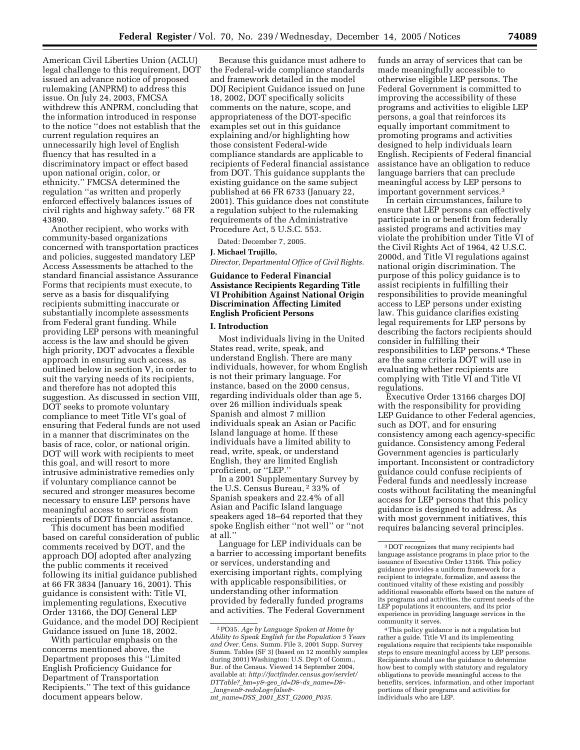American Civil Liberties Union (ACLU) legal challenge to this requirement, DOT issued an advance notice of proposed rulemaking (ANPRM) to address this issue. On July 24, 2003, FMCSA withdrew this ANPRM, concluding that the information introduced in response to the notice ''does not establish that the current regulation requires an unnecessarily high level of English fluency that has resulted in a discriminatory impact or effect based upon national origin, color, or ethnicity.'' FMCSA determined the regulation ''as written and properly enforced effectively balances issues of civil rights and highway safety.'' 68 FR 43890.

Another recipient, who works with community-based organizations concerned with transportation practices and policies, suggested mandatory LEP Access Assessments be attached to the standard financial assistance Assurance Forms that recipients must execute, to serve as a basis for disqualifying recipients submitting inaccurate or substantially incomplete assessments from Federal grant funding. While providing LEP persons with meaningful access is the law and should be given high priority, DOT advocates a flexible approach in ensuring such access, as outlined below in section V, in order to suit the varying needs of its recipients, and therefore has not adopted this suggestion. As discussed in section VIII, DOT seeks to promote voluntary compliance to meet Title VI's goal of ensuring that Federal funds are not used in a manner that discriminates on the basis of race, color, or national origin. DOT will work with recipients to meet this goal, and will resort to more intrusive administrative remedies only if voluntary compliance cannot be secured and stronger measures become necessary to ensure LEP persons have meaningful access to services from recipients of DOT financial assistance.

This document has been modified based on careful consideration of public comments received by DOT, and the approach DOJ adopted after analyzing the public comments it received following its initial guidance published at 66 FR 3834 (January 16, 2001). This guidance is consistent with: Title VI, implementing regulations, Executive Order 13166, the DOJ General LEP Guidance, and the model DOJ Recipient Guidance issued on June 18, 2002.

With particular emphasis on the concerns mentioned above, the Department proposes this ''Limited English Proficiency Guidance for Department of Transportation Recipients.'' The text of this guidance document appears below.

Because this guidance must adhere to the Federal-wide compliance standards and framework detailed in the model DOJ Recipient Guidance issued on June 18, 2002, DOT specifically solicits comments on the nature, scope, and appropriateness of the DOT-specific examples set out in this guidance explaining and/or highlighting how those consistent Federal-wide compliance standards are applicable to recipients of Federal financial assistance from DOT. This guidance supplants the existing guidance on the same subject published at 66 FR 6733 (January 22, 2001). This guidance does not constitute a regulation subject to the rulemaking requirements of the Administrative Procedure Act, 5 U.S.C. 553.

Dated: December 7, 2005.

#### **J. Michael Trujillo,**

*Director, Departmental Office of Civil Rights.* 

## **Guidance to Federal Financial Assistance Recipients Regarding Title VI Prohibition Against National Origin Discrimination Affecting Limited English Proficient Persons**

## **I. Introduction**

Most individuals living in the United States read, write, speak, and understand English. There are many individuals, however, for whom English is not their primary language. For instance, based on the 2000 census, regarding individuals older than age 5, over 26 million individuals speak Spanish and almost 7 million individuals speak an Asian or Pacific Island language at home. If these individuals have a limited ability to read, write, speak, or understand English, they are limited English proficient, or ''LEP.''

In a 2001 Supplementary Survey by the U.S. Census Bureau, <sup>2</sup> 33% of Spanish speakers and 22.4% of all Asian and Pacific Island language speakers aged 18–64 reported that they spoke English either ''not well'' or ''not at all.''

Language for LEP individuals can be a barrier to accessing important benefits or services, understanding and exercising important rights, complying with applicable responsibilities, or understanding other information provided by federally funded programs and activities. The Federal Government

funds an array of services that can be made meaningfully accessible to otherwise eligible LEP persons. The Federal Government is committed to improving the accessibility of these programs and activities to eligible LEP persons, a goal that reinforces its equally important commitment to promoting programs and activities designed to help individuals learn English. Recipients of Federal financial assistance have an obligation to reduce language barriers that can preclude meaningful access by LEP persons to important government services.3

In certain circumstances, failure to ensure that LEP persons can effectively participate in or benefit from federally assisted programs and activities may violate the prohibition under Title VI of the Civil Rights Act of 1964, 42 U.S.C. 2000d, and Title VI regulations against national origin discrimination. The purpose of this policy guidance is to assist recipients in fulfilling their responsibilities to provide meaningful access to LEP persons under existing law. This guidance clarifies existing legal requirements for LEP persons by describing the factors recipients should consider in fulfilling their responsibilities to LEP persons.4 These are the same criteria DOT will use in evaluating whether recipients are complying with Title VI and Title VI regulations.

Executive Order 13166 charges DOJ with the responsibility for providing LEP Guidance to other Federal agencies, such as DOT, and for ensuring consistency among each agency-specific guidance. Consistency among Federal Government agencies is particularly important. Inconsistent or contradictory guidance could confuse recipients of Federal funds and needlessly increase costs without facilitating the meaningful access for LEP persons that this policy guidance is designed to address. As with most government initiatives, this requires balancing several principles.

4This policy guidance is not a regulation but rather a guide. Title VI and its implementing regulations require that recipients take responsible steps to ensure meaningful access by LEP persons. Recipients should use the guidance to determine how best to comply with statutory and regulatory obligations to provide meaningful access to the benefits, services, information, and other important portions of their programs and activities for individuals who are LEP.

<sup>2</sup>PO35. *Age by Language Spoken at Home by Ability to Speak English for the Population 5 Years and Over.* Cens. Summ. File 3, 2001 Supp. Survey Summ. Tables (SF 3) (based on 12 monthly samples during 2001) Washington: U.S. Dep't of Comm., Bur. of the Census. Viewed 14 September 2004, available at: *http://factfinder.census.gov/servlet/ DTTable?*\_*bm=y&-geo*\_*id=D&-ds*\_*name=D&-*  \_*lang=en&-redoLog=false& mt*\_*name=DSS*\_*2001*\_*EST*\_*G2000*\_*P035.* 

<sup>3</sup> DOT recognizes that many recipients had language assistance programs in place prior to the issuance of Executive Order 13166. This policy guidance provides a uniform framework for a recipient to integrate, formalize, and assess the continued vitality of these existing and possibly additional reasonable efforts based on the nature of its programs and activities, the current needs of the LEP populations it encounters, and its prior experience in providing language services in the community it serves.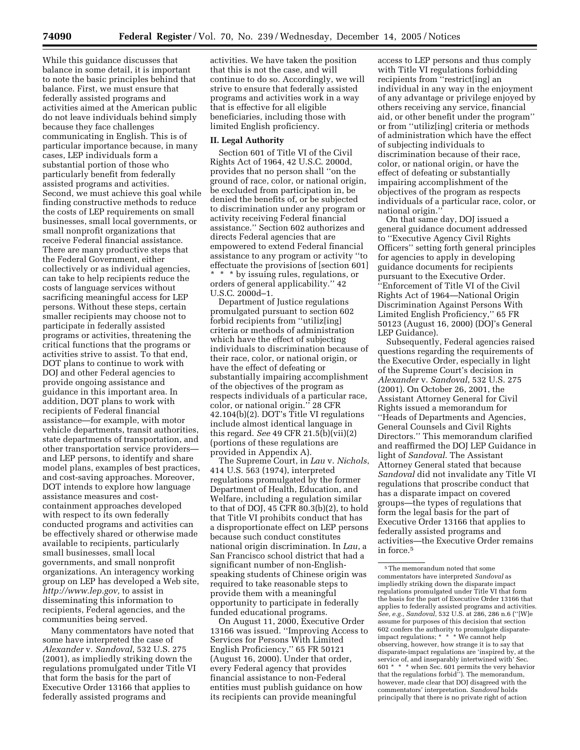While this guidance discusses that balance in some detail, it is important to note the basic principles behind that balance. First, we must ensure that federally assisted programs and activities aimed at the American public do not leave individuals behind simply because they face challenges communicating in English. This is of particular importance because, in many cases, LEP individuals form a substantial portion of those who particularly benefit from federally assisted programs and activities. Second, we must achieve this goal while finding constructive methods to reduce the costs of LEP requirements on small businesses, small local governments, or small nonprofit organizations that receive Federal financial assistance. There are many productive steps that the Federal Government, either collectively or as individual agencies, can take to help recipients reduce the costs of language services without sacrificing meaningful access for LEP persons. Without these steps, certain smaller recipients may choose not to participate in federally assisted programs or activities, threatening the critical functions that the programs or activities strive to assist. To that end, DOT plans to continue to work with DOJ and other Federal agencies to provide ongoing assistance and guidance in this important area. In addition, DOT plans to work with recipients of Federal financial assistance—for example, with motor vehicle departments, transit authorities, state departments of transportation, and other transportation service providers and LEP persons, to identify and share model plans, examples of best practices, and cost-saving approaches. Moreover, DOT intends to explore how language assistance measures and costcontainment approaches developed with respect to its own federally conducted programs and activities can be effectively shared or otherwise made available to recipients, particularly small businesses, small local governments, and small nonprofit organizations. An interagency working group on LEP has developed a Web site, *http://www.lep.gov,* to assist in disseminating this information to recipients, Federal agencies, and the communities being served.

Many commentators have noted that some have interpreted the case of *Alexander* v. *Sandoval*, 532 U.S. 275 (2001), as impliedly striking down the regulations promulgated under Title VI that form the basis for the part of Executive Order 13166 that applies to federally assisted programs and

activities. We have taken the position that this is not the case, and will continue to do so. Accordingly, we will strive to ensure that federally assisted programs and activities work in a way that is effective for all eligible beneficiaries, including those with limited English proficiency.

## **II. Legal Authority**

Section 601 of Title VI of the Civil Rights Act of 1964, 42 U.S.C. 2000d, provides that no person shall ''on the ground of race, color, or national origin, be excluded from participation in, be denied the benefits of, or be subjected to discrimination under any program or activity receiving Federal financial assistance.'' Section 602 authorizes and directs Federal agencies that are empowered to extend Federal financial assistance to any program or activity ''to effectuate the provisions of [section 601] \* \* \* by issuing rules, regulations, or orders of general applicability.'' 42 U.S.C. 2000d–1.

Department of Justice regulations promulgated pursuant to section 602 forbid recipients from ''utiliz[ing] criteria or methods of administration which have the effect of subjecting individuals to discrimination because of their race, color, or national origin, or have the effect of defeating or substantially impairing accomplishment of the objectives of the program as respects individuals of a particular race, color, or national origin.'' 28 CFR 42.104(b)(2). DOT's Title VI regulations include almost identical language in this regard. *See* 49 CFR 21.5(b)(vii)(2) (portions of these regulations are provided in Appendix A).

The Supreme Court, in *Lau* v. *Nichols*, 414 U.S. 563 (1974), interpreted regulations promulgated by the former Department of Health, Education, and Welfare, including a regulation similar to that of DOJ, 45 CFR 80.3(b)(2), to hold that Title VI prohibits conduct that has a disproportionate effect on LEP persons because such conduct constitutes national origin discrimination. In *Lau*, a San Francisco school district that had a significant number of non-Englishspeaking students of Chinese origin was required to take reasonable steps to provide them with a meaningful opportunity to participate in federally funded educational programs.

On August 11, 2000, Executive Order 13166 was issued. ''Improving Access to Services for Persons With Limited English Proficiency,'' 65 FR 50121 (August 16, 2000). Under that order, every Federal agency that provides financial assistance to non-Federal entities must publish guidance on how its recipients can provide meaningful

access to LEP persons and thus comply with Title VI regulations forbidding recipients from ''restrict[ing] an individual in any way in the enjoyment of any advantage or privilege enjoyed by others receiving any service, financial aid, or other benefit under the program'' or from ''utiliz[ing] criteria or methods of administration which have the effect of subjecting individuals to discrimination because of their race, color, or national origin, or have the effect of defeating or substantially impairing accomplishment of the objectives of the program as respects individuals of a particular race, color, or national origin.''

On that same day, DOJ issued a general guidance document addressed to ''Executive Agency Civil Rights Officers'' setting forth general principles for agencies to apply in developing guidance documents for recipients pursuant to the Executive Order. ''Enforcement of Title VI of the Civil Rights Act of 1964—National Origin Discrimination Against Persons With Limited English Proficiency,'' 65 FR 50123 (August 16, 2000) (DOJ's General LEP Guidance).

Subsequently, Federal agencies raised questions regarding the requirements of the Executive Order, especially in light of the Supreme Court's decision in *Alexander* v. *Sandoval*, 532 U.S. 275 (2001). On October 26, 2001, the Assistant Attorney General for Civil Rights issued a memorandum for ''Heads of Departments and Agencies, General Counsels and Civil Rights Directors.'' This memorandum clarified and reaffirmed the DOJ LEP Guidance in light of *Sandoval*. The Assistant Attorney General stated that because *Sandoval* did not invalidate any Title VI regulations that proscribe conduct that has a disparate impact on covered groups—the types of regulations that form the legal basis for the part of Executive Order 13166 that applies to federally assisted programs and activities—the Executive Order remains in force.5

 $^{\rm 5}$  The memorandum noted that some commentators have interpreted *Sandoval* as impliedly striking down the disparate impact regulations promulgated under Title VI that form the basis for the part of Executive Order 13166 that applies to federally assisted programs and activities. *See, e.g., Sandoval*, 532 U.S. at 286, 286 n.6 (''[W]e assume for purposes of this decision that section 602 confers the authority to promulgate disparateimpact regulations; \* \* \* We cannot help observing, however, how strange it is to say that disparate-impact regulations are 'inspired by, at the service of, and inseparably intertwined with' Sec. 601 \* \* \* when Sec. 601 permits the very behavior that the regulations forbid''). The memorandum, however, made clear that DOJ disagreed with the commentators' interpretation. *Sandoval* holds principally that there is no private right of action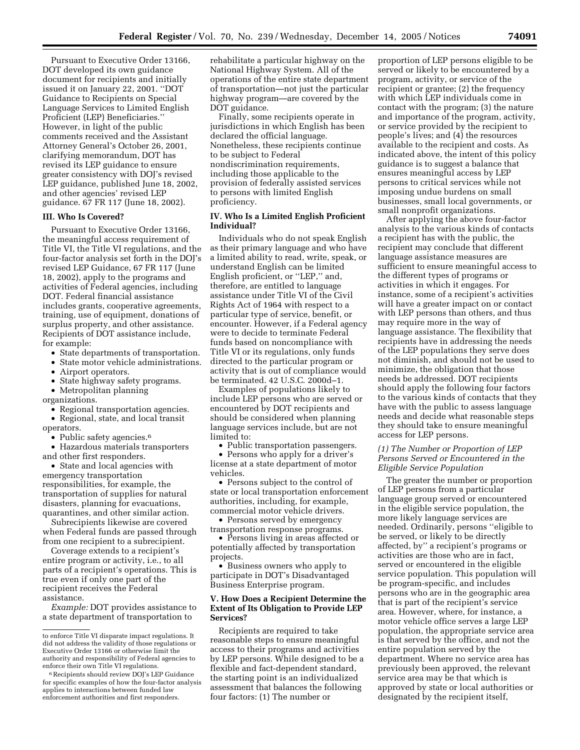Pursuant to Executive Order 13166, DOT developed its own guidance document for recipients and initially issued it on January 22, 2001. ''DOT Guidance to Recipients on Special Language Services to Limited English Proficient (LEP) Beneficiaries.'' However, in light of the public comments received and the Assistant Attorney General's October 26, 2001, clarifying memorandum, DOT has revised its LEP guidance to ensure greater consistency with DOJ's revised LEP guidance, published June 18, 2002, and other agencies' revised LEP guidance. 67 FR 117 (June 18, 2002).

#### **III. Who Is Covered?**

Pursuant to Executive Order 13166, the meaningful access requirement of Title VI, the Title VI regulations, and the four-factor analysis set forth in the DOJ's revised LEP Guidance, 67 FR 117 (June 18, 2002), apply to the programs and activities of Federal agencies, including DOT. Federal financial assistance includes grants, cooperative agreements, training, use of equipment, donations of surplus property, and other assistance. Recipients of DOT assistance include, for example:

- State departments of transportation.
- State motor vehicle administrations.
- Airport operators.
- State highway safety programs.
- Metropolitan planning organizations.
- Regional transportation agencies.

• Regional, state, and local transit operators.

- Public safety agencies.<sup>6</sup>
- Hazardous materials transporters and other first responders.

• State and local agencies with emergency transportation responsibilities, for example, the transportation of supplies for natural disasters, planning for evacuations, quarantines, and other similar action.

Subrecipients likewise are covered when Federal funds are passed through from one recipient to a subrecipient.

Coverage extends to a recipient's entire program or activity, i.e., to all parts of a recipient's operations. This is true even if only one part of the recipient receives the Federal assistance.

*Example:* DOT provides assistance to a state department of transportation to

rehabilitate a particular highway on the National Highway System. All of the operations of the entire state department of transportation—not just the particular highway program—are covered by the DOT guidance.

Finally, some recipients operate in jurisdictions in which English has been declared the official language. Nonetheless, these recipients continue to be subject to Federal nondiscrimination requirements, including those applicable to the provision of federally assisted services to persons with limited English proficiency.

# **IV. Who Is a Limited English Proficient Individual?**

Individuals who do not speak English as their primary language and who have a limited ability to read, write, speak, or understand English can be limited English proficient, or ''LEP,'' and, therefore, are entitled to language assistance under Title VI of the Civil Rights Act of 1964 with respect to a particular type of service, benefit, or encounter. However, if a Federal agency were to decide to terminate Federal funds based on noncompliance with Title VI or its regulations, only funds directed to the particular program or activity that is out of compliance would be terminated. 42 U.S.C. 2000d–1.

Examples of populations likely to include LEP persons who are served or encountered by DOT recipients and should be considered when planning language services include, but are not limited to:

• Public transportation passengers.

• Persons who apply for a driver's license at a state department of motor vehicles.

• Persons subject to the control of state or local transportation enforcement authorities, including, for example, commercial motor vehicle drivers.

• Persons served by emergency

transportation response programs. • Persons living in areas affected or

potentially affected by transportation projects.

• Business owners who apply to participate in DOT's Disadvantaged Business Enterprise program.

# **V. How Does a Recipient Determine the Extent of Its Obligation to Provide LEP Services?**

Recipients are required to take reasonable steps to ensure meaningful access to their programs and activities by LEP persons. While designed to be a flexible and fact-dependent standard, the starting point is an individualized assessment that balances the following four factors: (1) The number or

proportion of LEP persons eligible to be served or likely to be encountered by a program, activity, or service of the recipient or grantee; (2) the frequency with which LEP individuals come in contact with the program; (3) the nature and importance of the program, activity, or service provided by the recipient to people's lives; and (4) the resources available to the recipient and costs. As indicated above, the intent of this policy guidance is to suggest a balance that ensures meaningful access by LEP persons to critical services while not imposing undue burdens on small businesses, small local governments, or small nonprofit organizations.

After applying the above four-factor analysis to the various kinds of contacts a recipient has with the public, the recipient may conclude that different language assistance measures are sufficient to ensure meaningful access to the different types of programs or activities in which it engages. For instance, some of a recipient's activities will have a greater impact on or contact with LEP persons than others, and thus may require more in the way of language assistance. The flexibility that recipients have in addressing the needs of the LEP populations they serve does not diminish, and should not be used to minimize, the obligation that those needs be addressed. DOT recipients should apply the following four factors to the various kinds of contacts that they have with the public to assess language needs and decide what reasonable steps they should take to ensure meaningful access for LEP persons.

# *(1) The Number or Proportion of LEP Persons Served or Encountered in the Eligible Service Population*

The greater the number or proportion of LEP persons from a particular language group served or encountered in the eligible service population, the more likely language services are needed. Ordinarily, persons ''eligible to be served, or likely to be directly affected, by'' a recipient's programs or activities are those who are in fact, served or encountered in the eligible service population. This population will be program-specific, and includes persons who are in the geographic area that is part of the recipient's service area. However, where, for instance, a motor vehicle office serves a large LEP population, the appropriate service area is that served by the office, and not the entire population served by the department. Where no service area has previously been approved, the relevant service area may be that which is approved by state or local authorities or designated by the recipient itself,

to enforce Title VI disparate impact regulations. It did not address the validity of those regulations or Executive Order 13166 or otherwise limit the authority and responsibility of Federal agencies to enforce their own Title VI regulations.

<sup>6</sup>Recipients should review DOJ's LEP Guidance for specific examples of how the four-factor analysis applies to interactions between funded law enforcement authorities and first responders.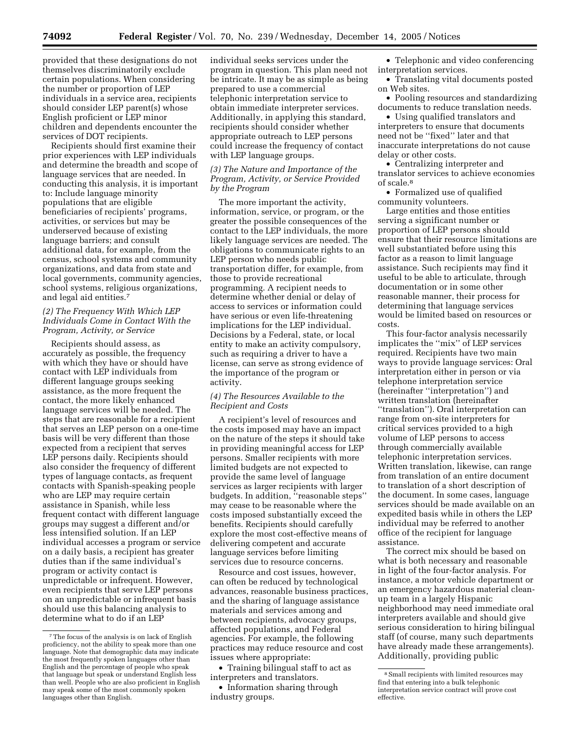provided that these designations do not themselves discriminatorily exclude certain populations. When considering the number or proportion of LEP individuals in a service area, recipients should consider LEP parent(s) whose English proficient or LEP minor children and dependents encounter the services of DOT recipients.

Recipients should first examine their prior experiences with LEP individuals and determine the breadth and scope of language services that are needed. In conducting this analysis, it is important to: Include language minority populations that are eligible beneficiaries of recipients' programs, activities, or services but may be underserved because of existing language barriers; and consult additional data, for example, from the census, school systems and community organizations, and data from state and local governments, community agencies, school systems, religious organizations, and legal aid entities.7

# *(2) The Frequency With Which LEP Individuals Come in Contact With the Program, Activity, or Service*

Recipients should assess, as accurately as possible, the frequency with which they have or should have contact with LEP individuals from different language groups seeking assistance, as the more frequent the contact, the more likely enhanced language services will be needed. The steps that are reasonable for a recipient that serves an LEP person on a one-time basis will be very different than those expected from a recipient that serves LEP persons daily. Recipients should also consider the frequency of different types of language contacts, as frequent contacts with Spanish-speaking people who are LEP may require certain assistance in Spanish, while less frequent contact with different language groups may suggest a different and/or less intensified solution. If an LEP individual accesses a program or service on a daily basis, a recipient has greater duties than if the same individual's program or activity contact is unpredictable or infrequent. However, even recipients that serve LEP persons on an unpredictable or infrequent basis should use this balancing analysis to determine what to do if an LEP

individual seeks services under the program in question. This plan need not be intricate. It may be as simple as being prepared to use a commercial telephonic interpretation service to obtain immediate interpreter services. Additionally, in applying this standard, recipients should consider whether appropriate outreach to LEP persons could increase the frequency of contact with LEP language groups.

# *(3) The Nature and Importance of the Program, Activity, or Service Provided by the Program*

The more important the activity, information, service, or program, or the greater the possible consequences of the contact to the LEP individuals, the more likely language services are needed. The obligations to communicate rights to an LEP person who needs public transportation differ, for example, from those to provide recreational programming. A recipient needs to determine whether denial or delay of access to services or information could have serious or even life-threatening implications for the LEP individual. Decisions by a Federal, state, or local entity to make an activity compulsory, such as requiring a driver to have a license, can serve as strong evidence of the importance of the program or activity.

# *(4) The Resources Available to the Recipient and Costs*

A recipient's level of resources and the costs imposed may have an impact on the nature of the steps it should take in providing meaningful access for LEP persons. Smaller recipients with more limited budgets are not expected to provide the same level of language services as larger recipients with larger budgets. In addition, ''reasonable steps'' may cease to be reasonable where the costs imposed substantially exceed the benefits. Recipients should carefully explore the most cost-effective means of delivering competent and accurate language services before limiting services due to resource concerns.

Resource and cost issues, however, can often be reduced by technological advances, reasonable business practices, and the sharing of language assistance materials and services among and between recipients, advocacy groups, affected populations, and Federal agencies. For example, the following practices may reduce resource and cost issues where appropriate:

• Training bilingual staff to act as interpreters and translators.

• Information sharing through industry groups.

• Telephonic and video conferencing interpretation services.

• Translating vital documents posted on Web sites.

• Pooling resources and standardizing documents to reduce translation needs.

• Using qualified translators and interpreters to ensure that documents need not be ''fixed'' later and that inaccurate interpretations do not cause delay or other costs.

• Centralizing interpreter and translator services to achieve economies of scale.8

• Formalized use of qualified community volunteers.

Large entities and those entities serving a significant number or proportion of LEP persons should ensure that their resource limitations are well substantiated before using this factor as a reason to limit language assistance. Such recipients may find it useful to be able to articulate, through documentation or in some other reasonable manner, their process for determining that language services would be limited based on resources or costs.

This four-factor analysis necessarily implicates the ''mix'' of LEP services required. Recipients have two main ways to provide language services: Oral interpretation either in person or via telephone interpretation service (hereinafter ''interpretation'') and written translation (hereinafter ''translation''). Oral interpretation can range from on-site interpreters for critical services provided to a high volume of LEP persons to access through commercially available telephonic interpretation services. Written translation, likewise, can range from translation of an entire document to translation of a short description of the document. In some cases, language services should be made available on an expedited basis while in others the LEP individual may be referred to another office of the recipient for language assistance.

The correct mix should be based on what is both necessary and reasonable in light of the four-factor analysis. For instance, a motor vehicle department or an emergency hazardous material cleanup team in a largely Hispanic neighborhood may need immediate oral interpreters available and should give serious consideration to hiring bilingual staff (of course, many such departments have already made these arrangements). Additionally, providing public

<sup>7</sup>The focus of the analysis is on lack of English proficiency, not the ability to speak more than one language. Note that demographic data may indicate the most frequently spoken languages other than English and the percentage of people who speak that language but speak or understand English less than well. People who are also proficient in English may speak some of the most commonly spoken languages other than English.

<sup>8</sup>Small recipients with limited resources may find that entering into a bulk telephonic interpretation service contract will prove cost effective.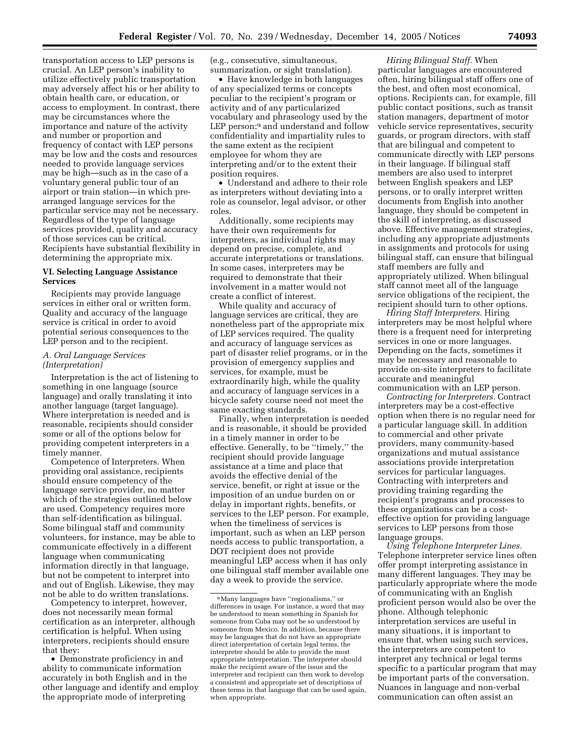transportation access to LEP persons is crucial. An LEP person's inability to utilize effectively public transportation may adversely affect his or her ability to obtain health care, or education, or access to employment. In contrast, there may be circumstances where the importance and nature of the activity and number or proportion and frequency of contact with LEP persons may be low and the costs and resources needed to provide language services may be high—such as in the case of a voluntary general public tour of an airport or train station—in which prearranged language services for the particular service may not be necessary. Regardless of the type of language services provided, quality and accuracy of those services can be critical. Recipients have substantial flexibility in determining the appropriate mix.

# **VI. Selecting Language Assistance Services**

Recipients may provide language services in either oral or written form. Quality and accuracy of the language service is critical in order to avoid potential serious consequences to the LEP person and to the recipient.

# *A. Oral Language Services (Interpretation)*

Interpretation is the act of listening to something in one language (source language) and orally translating it into another language (target language). Where interpretation is needed and is reasonable, recipients should consider some or all of the options below for providing competent interpreters in a timely manner.

Competence of Interpreters. When providing oral assistance, recipients should ensure competency of the language service provider, no matter which of the strategies outlined below are used. Competency requires more than self-identification as bilingual. Some bilingual staff and community volunteers, for instance, may be able to communicate effectively in a different language when communicating information directly in that language, but not be competent to interpret into and out of English. Likewise, they may not be able to do written translations.

Competency to interpret, however, does not necessarily mean formal certification as an interpreter, although certification is helpful. When using interpreters, recipients should ensure that they:

• Demonstrate proficiency in and ability to communicate information accurately in both English and in the other language and identify and employ the appropriate mode of interpreting

(e.g., consecutive, simultaneous, summarization, or sight translation).

• Have knowledge in both languages of any specialized terms or concepts peculiar to the recipient's program or activity and of any particularized vocabulary and phraseology used by the LEP person;<sup>9</sup> and understand and follow confidentiality and impartiality rules to the same extent as the recipient employee for whom they are interpreting and/or to the extent their position requires.

• Understand and adhere to their role as interpreters without deviating into a role as counselor, legal advisor, or other roles.

Additionally, some recipients may have their own requirements for interpreters, as individual rights may depend on precise, complete, and accurate interpretations or translations. In some cases, interpreters may be required to demonstrate that their involvement in a matter would not create a conflict of interest.

While quality and accuracy of language services are critical, they are nonetheless part of the appropriate mix of LEP services required. The quality and accuracy of language services as part of disaster relief programs, or in the provision of emergency supplies and services, for example, must be extraordinarily high, while the quality and accuracy of language services in a bicycle safety course need not meet the same exacting standards.

Finally, when interpretation is needed and is reasonable, it should be provided in a timely manner in order to be effective. Generally, to be ''timely,'' the recipient should provide language assistance at a time and place that avoids the effective denial of the service, benefit, or right at issue or the imposition of an undue burden on or delay in important rights, benefits, or services to the LEP person. For example, when the timeliness of services is important, such as when an LEP person needs access to public transportation, a DOT recipient does not provide meaningful LEP access when it has only one bilingual staff member available one day a week to provide the service.

*Hiring Bilingual Staff.* When particular languages are encountered often, hiring bilingual staff offers one of the best, and often most economical, options. Recipients can, for example, fill public contact positions, such as transit station managers, department of motor vehicle service representatives, security guards, or program directors, with staff that are bilingual and competent to communicate directly with LEP persons in their language. If bilingual staff members are also used to interpret between English speakers and LEP persons, or to orally interpret written documents from English into another language, they should be competent in the skill of interpreting, as discussed above. Effective management strategies, including any appropriate adjustments in assignments and protocols for using bilingual staff, can ensure that bilingual staff members are fully and appropriately utilized. When bilingual staff cannot meet all of the language service obligations of the recipient, the recipient should turn to other options.

*Hiring Staff Interpreters.* Hiring interpreters may be most helpful where there is a frequent need for interpreting services in one or more languages. Depending on the facts, sometimes it may be necessary and reasonable to provide on-site interpreters to facilitate accurate and meaningful communication with an LEP person.

*Contracting for Interpreters.* Contract interpreters may be a cost-effective option when there is no regular need for a particular language skill. In addition to commercial and other private providers, many community-based organizations and mutual assistance associations provide interpretation services for particular languages. Contracting with interpreters and providing training regarding the recipient's programs and processes to these organizations can be a costeffective option for providing language services to LEP persons from those language groups.

*Using Telephone Interpreter Lines.*  Telephone interpreter service lines often offer prompt interpreting assistance in many different languages. They may be particularly appropriate where the mode of communicating with an English proficient person would also be over the phone. Although telephonic interpretation services are useful in many situations, it is important to ensure that, when using such services, the interpreters are competent to interpret any technical or legal terms specific to a particular program that may be important parts of the conversation. Nuances in language and non-verbal communication can often assist an

<sup>9</sup>Many languages have ''regionalisms,'' or differences in usage. For instance, a word that may be understood to mean something in Spanish for someone from Cuba may not be so understood by someone from Mexico. In addition, because there may be languages that do not have an appropriate direct interpretation of certain legal terms, the interpreter should be able to provide the most appropriate interpretation. The interpreter should make the recipient aware of the issue and the interpreter and recipient can then work to develop a consistent and appropriate set of descriptions of these terms in that language that can be used again, when appropriate.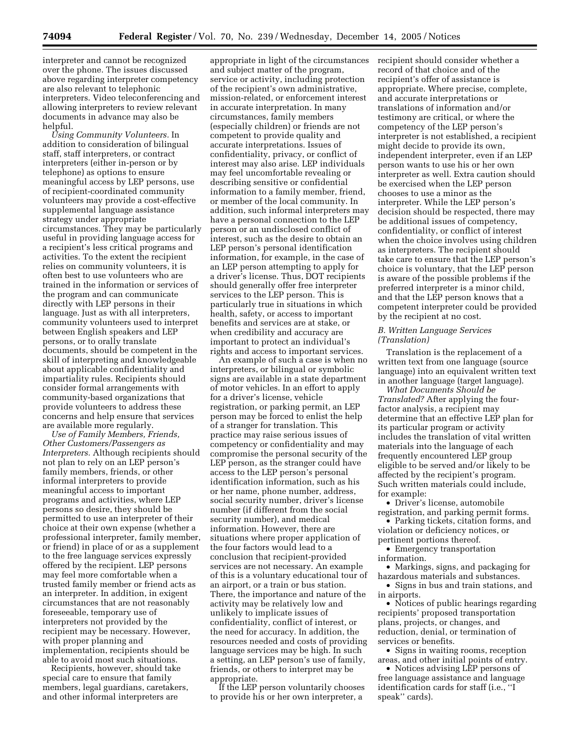interpreter and cannot be recognized over the phone. The issues discussed above regarding interpreter competency are also relevant to telephonic interpreters. Video teleconferencing and allowing interpreters to review relevant documents in advance may also be helpful.

*Using Community Volunteers.* In addition to consideration of bilingual staff, staff interpreters, or contract interpreters (either in-person or by telephone) as options to ensure meaningful access by LEP persons, use of recipient-coordinated community volunteers may provide a cost-effective supplemental language assistance strategy under appropriate circumstances. They may be particularly useful in providing language access for a recipient's less critical programs and activities. To the extent the recipient relies on community volunteers, it is often best to use volunteers who are trained in the information or services of the program and can communicate directly with LEP persons in their language. Just as with all interpreters, community volunteers used to interpret between English speakers and LEP persons, or to orally translate documents, should be competent in the skill of interpreting and knowledgeable about applicable confidentiality and impartiality rules. Recipients should consider formal arrangements with community-based organizations that provide volunteers to address these concerns and help ensure that services are available more regularly.

*Use of Family Members, Friends, Other Customers/Passengers as Interpreters.* Although recipients should not plan to rely on an LEP person's family members, friends, or other informal interpreters to provide meaningful access to important programs and activities, where LEP persons so desire, they should be permitted to use an interpreter of their choice at their own expense (whether a professional interpreter, family member, or friend) in place of or as a supplement to the free language services expressly offered by the recipient. LEP persons may feel more comfortable when a trusted family member or friend acts as an interpreter. In addition, in exigent circumstances that are not reasonably foreseeable, temporary use of interpreters not provided by the recipient may be necessary. However, with proper planning and implementation, recipients should be able to avoid most such situations.

Recipients, however, should take special care to ensure that family members, legal guardians, caretakers, and other informal interpreters are

appropriate in light of the circumstances and subject matter of the program, service or activity, including protection of the recipient's own administrative, mission-related, or enforcement interest in accurate interpretation. In many circumstances, family members (especially children) or friends are not competent to provide quality and accurate interpretations. Issues of confidentiality, privacy, or conflict of interest may also arise. LEP individuals may feel uncomfortable revealing or describing sensitive or confidential information to a family member, friend, or member of the local community. In addition, such informal interpreters may have a personal connection to the LEP person or an undisclosed conflict of interest, such as the desire to obtain an LEP person's personal identification information, for example, in the case of an LEP person attempting to apply for a driver's license. Thus, DOT recipients should generally offer free interpreter services to the LEP person. This is particularly true in situations in which health, safety, or access to important benefits and services are at stake, or when credibility and accuracy are important to protect an individual's rights and access to important services.

An example of such a case is when no interpreters, or bilingual or symbolic signs are available in a state department of motor vehicles. In an effort to apply for a driver's license, vehicle registration, or parking permit, an LEP person may be forced to enlist the help of a stranger for translation. This practice may raise serious issues of competency or confidentiality and may compromise the personal security of the LEP person, as the stranger could have access to the LEP person's personal identification information, such as his or her name, phone number, address, social security number, driver's license number (if different from the social security number), and medical information. However, there are situations where proper application of the four factors would lead to a conclusion that recipient-provided services are not necessary. An example of this is a voluntary educational tour of an airport, or a train or bus station. There, the importance and nature of the activity may be relatively low and unlikely to implicate issues of confidentiality, conflict of interest, or the need for accuracy. In addition, the resources needed and costs of providing language services may be high. In such a setting, an LEP person's use of family, friends, or others to interpret may be appropriate.

If the LEP person voluntarily chooses to provide his or her own interpreter, a

recipient should consider whether a record of that choice and of the recipient's offer of assistance is appropriate. Where precise, complete, and accurate interpretations or translations of information and/or testimony are critical, or where the competency of the LEP person's interpreter is not established, a recipient might decide to provide its own, independent interpreter, even if an LEP person wants to use his or her own interpreter as well. Extra caution should be exercised when the LEP person chooses to use a minor as the interpreter. While the LEP person's decision should be respected, there may be additional issues of competency, confidentiality, or conflict of interest when the choice involves using children as interpreters. The recipient should take care to ensure that the LEP person's choice is voluntary, that the LEP person is aware of the possible problems if the preferred interpreter is a minor child, and that the LEP person knows that a competent interpreter could be provided by the recipient at no cost.

#### *B. Written Language Services (Translation)*

Translation is the replacement of a written text from one language (source language) into an equivalent written text in another language (target language).

*What Documents Should be Translated?* After applying the fourfactor analysis, a recipient may determine that an effective LEP plan for its particular program or activity includes the translation of vital written materials into the language of each frequently encountered LEP group eligible to be served and/or likely to be affected by the recipient's program. Such written materials could include, for example:

• Driver's license, automobile registration, and parking permit forms.

• Parking tickets, citation forms, and violation or deficiency notices, or pertinent portions thereof.

• Emergency transportation information.

• Markings, signs, and packaging for hazardous materials and substances.

• Signs in bus and train stations, and in airports.

• Notices of public hearings regarding recipients' proposed transportation plans, projects, or changes, and reduction, denial, or termination of services or benefits.

• Signs in waiting rooms, reception areas, and other initial points of entry.

• Notices advising LEP persons of free language assistance and language identification cards for staff (i.e., ''I speak'' cards).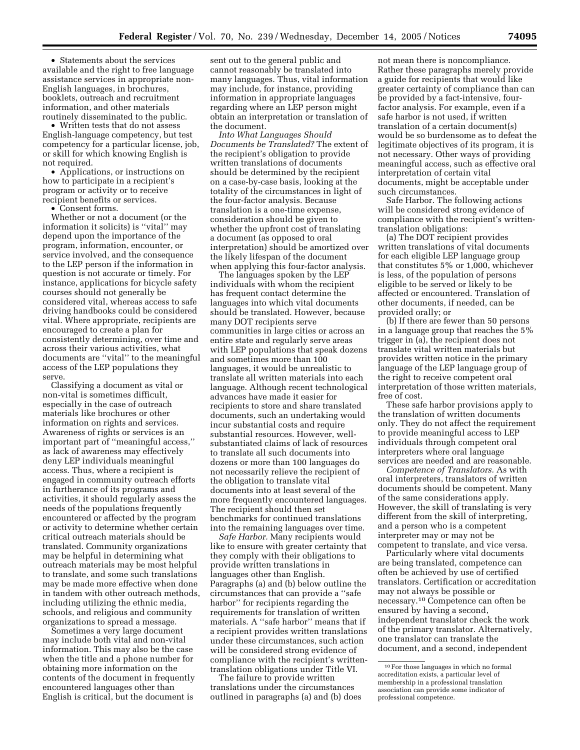• Statements about the services available and the right to free language assistance services in appropriate non-English languages, in brochures, booklets, outreach and recruitment information, and other materials routinely disseminated to the public.

• Written tests that do not assess English-language competency, but test competency for a particular license, job, or skill for which knowing English is not required.

• Applications, or instructions on how to participate in a recipient's program or activity or to receive recipient benefits or services.

• Consent forms.

Whether or not a document (or the information it solicits) is ''vital'' may depend upon the importance of the program, information, encounter, or service involved, and the consequence to the LEP person if the information in question is not accurate or timely. For instance, applications for bicycle safety courses should not generally be considered vital, whereas access to safe driving handbooks could be considered vital. Where appropriate, recipients are encouraged to create a plan for consistently determining, over time and across their various activities, what documents are ''vital'' to the meaningful access of the LEP populations they serve.

Classifying a document as vital or non-vital is sometimes difficult, especially in the case of outreach materials like brochures or other information on rights and services. Awareness of rights or services is an important part of ''meaningful access,'' as lack of awareness may effectively deny LEP individuals meaningful access. Thus, where a recipient is engaged in community outreach efforts in furtherance of its programs and activities, it should regularly assess the needs of the populations frequently encountered or affected by the program or activity to determine whether certain critical outreach materials should be translated. Community organizations may be helpful in determining what outreach materials may be most helpful to translate, and some such translations may be made more effective when done in tandem with other outreach methods, including utilizing the ethnic media, schools, and religious and community organizations to spread a message.

Sometimes a very large document may include both vital and non-vital information. This may also be the case when the title and a phone number for obtaining more information on the contents of the document in frequently encountered languages other than English is critical, but the document is

sent out to the general public and cannot reasonably be translated into many languages. Thus, vital information may include, for instance, providing information in appropriate languages regarding where an LEP person might obtain an interpretation or translation of the document.

*Into What Languages Should Documents be Translated?* The extent of the recipient's obligation to provide written translations of documents should be determined by the recipient on a case-by-case basis, looking at the totality of the circumstances in light of the four-factor analysis. Because translation is a one-time expense, consideration should be given to whether the upfront cost of translating a document (as opposed to oral interpretation) should be amortized over the likely lifespan of the document when applying this four-factor analysis.

The languages spoken by the LEP individuals with whom the recipient has frequent contact determine the languages into which vital documents should be translated. However, because many DOT recipients serve communities in large cities or across an entire state and regularly serve areas with LEP populations that speak dozens and sometimes more than 100 languages, it would be unrealistic to translate all written materials into each language. Although recent technological advances have made it easier for recipients to store and share translated documents, such an undertaking would incur substantial costs and require substantial resources. However, wellsubstantiated claims of lack of resources to translate all such documents into dozens or more than 100 languages do not necessarily relieve the recipient of the obligation to translate vital documents into at least several of the more frequently encountered languages. The recipient should then set benchmarks for continued translations into the remaining languages over time.

*Safe Harbor.* Many recipients would like to ensure with greater certainty that they comply with their obligations to provide written translations in languages other than English. Paragraphs (a) and (b) below outline the circumstances that can provide a ''safe harbor'' for recipients regarding the requirements for translation of written materials. A ''safe harbor'' means that if a recipient provides written translations under these circumstances, such action will be considered strong evidence of compliance with the recipient's writtentranslation obligations under Title VI.

The failure to provide written translations under the circumstances outlined in paragraphs (a) and (b) does

not mean there is noncompliance. Rather these paragraphs merely provide a guide for recipients that would like greater certainty of compliance than can be provided by a fact-intensive, fourfactor analysis. For example, even if a safe harbor is not used, if written translation of a certain document(s) would be so burdensome as to defeat the legitimate objectives of its program, it is not necessary. Other ways of providing meaningful access, such as effective oral interpretation of certain vital documents, might be acceptable under such circumstances.

Safe Harbor. The following actions will be considered strong evidence of compliance with the recipient's writtentranslation obligations:

(a) The DOT recipient provides written translations of vital documents for each eligible LEP language group that constitutes 5% or 1,000, whichever is less, of the population of persons eligible to be served or likely to be affected or encountered. Translation of other documents, if needed, can be provided orally; or

(b) If there are fewer than 50 persons in a language group that reaches the 5% trigger in (a), the recipient does not translate vital written materials but provides written notice in the primary language of the LEP language group of the right to receive competent oral interpretation of those written materials, free of cost.

These safe harbor provisions apply to the translation of written documents only. They do not affect the requirement to provide meaningful access to LEP individuals through competent oral interpreters where oral language services are needed and are reasonable.

*Competence of Translators.* As with oral interpreters, translators of written documents should be competent. Many of the same considerations apply. However, the skill of translating is very different from the skill of interpreting, and a person who is a competent interpreter may or may not be competent to translate, and vice versa.

Particularly where vital documents are being translated, competence can often be achieved by use of certified translators. Certification or accreditation may not always be possible or necessary.10 Competence can often be ensured by having a second, independent translator check the work of the primary translator. Alternatively, one translator can translate the document, and a second, independent

<sup>10</sup>For those languages in which no formal accreditation exists, a particular level of membership in a professional translation association can provide some indicator of professional competence.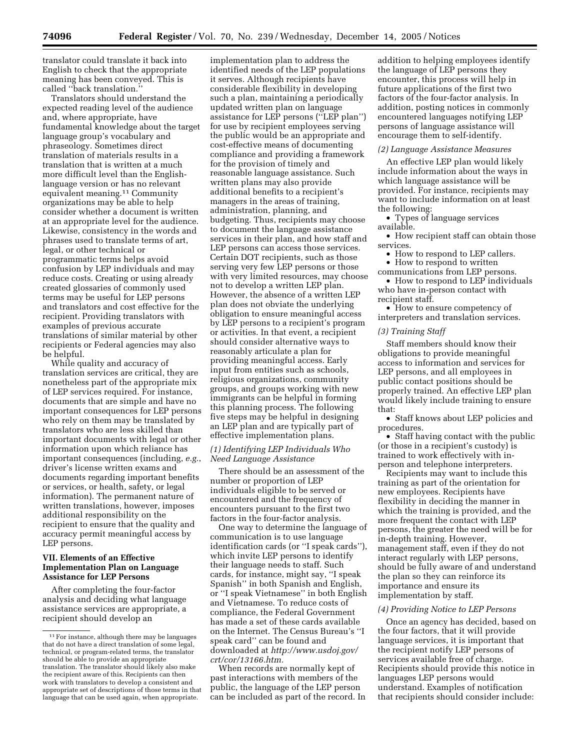translator could translate it back into English to check that the appropriate meaning has been conveyed. This is called ''back translation.''

Translators should understand the expected reading level of the audience and, where appropriate, have fundamental knowledge about the target language group's vocabulary and phraseology. Sometimes direct translation of materials results in a translation that is written at a much more difficult level than the Englishlanguage version or has no relevant equivalent meaning.<sup>11</sup> Community organizations may be able to help consider whether a document is written at an appropriate level for the audience. Likewise, consistency in the words and phrases used to translate terms of art, legal, or other technical or programmatic terms helps avoid confusion by LEP individuals and may reduce costs. Creating or using already created glossaries of commonly used terms may be useful for LEP persons and translators and cost effective for the recipient. Providing translators with examples of previous accurate translations of similar material by other recipients or Federal agencies may also be helpful.

While quality and accuracy of translation services are critical, they are nonetheless part of the appropriate mix of LEP services required. For instance, documents that are simple and have no important consequences for LEP persons who rely on them may be translated by translators who are less skilled than important documents with legal or other information upon which reliance has important consequences (including, *e.g.*, driver's license written exams and documents regarding important benefits or services, or health, safety, or legal information). The permanent nature of written translations, however, imposes additional responsibility on the recipient to ensure that the quality and accuracy permit meaningful access by LEP persons.

# **VII. Elements of an Effective Implementation Plan on Language Assistance for LEP Persons**

After completing the four-factor analysis and deciding what language assistance services are appropriate, a recipient should develop an

implementation plan to address the identified needs of the LEP populations it serves. Although recipients have considerable flexibility in developing such a plan, maintaining a periodically updated written plan on language assistance for LEP persons (''LEP plan'') for use by recipient employees serving the public would be an appropriate and cost-effective means of documenting compliance and providing a framework for the provision of timely and reasonable language assistance. Such written plans may also provide additional benefits to a recipient's managers in the areas of training, administration, planning, and budgeting. Thus, recipients may choose to document the language assistance services in their plan, and how staff and LEP persons can access those services. Certain DOT recipients, such as those serving very few LEP persons or those with very limited resources, may choose not to develop a written LEP plan. However, the absence of a written LEP plan does not obviate the underlying obligation to ensure meaningful access by LEP persons to a recipient's program or activities. In that event, a recipient should consider alternative ways to reasonably articulate a plan for providing meaningful access. Early input from entities such as schools, religious organizations, community groups, and groups working with new immigrants can be helpful in forming this planning process. The following five steps may be helpful in designing an LEP plan and are typically part of effective implementation plans.

## *(1) Identifying LEP Individuals Who Need Language Assistance*

There should be an assessment of the number or proportion of LEP individuals eligible to be served or encountered and the frequency of encounters pursuant to the first two factors in the four-factor analysis.

One way to determine the language of communication is to use language identification cards (or ''I speak cards''), which invite LEP persons to identify their language needs to staff. Such cards, for instance, might say, ''I speak Spanish'' in both Spanish and English, or ''I speak Vietnamese'' in both English and Vietnamese. To reduce costs of compliance, the Federal Government has made a set of these cards available on the Internet. The Census Bureau's ''I speak card'' can be found and downloaded at *http://www.usdoj.gov/ crt/cor/13166.htm.* 

When records are normally kept of past interactions with members of the public, the language of the LEP person can be included as part of the record. In

addition to helping employees identify the language of LEP persons they encounter, this process will help in future applications of the first two factors of the four-factor analysis. In addition, posting notices in commonly encountered languages notifying LEP persons of language assistance will encourage them to self-identify.

# *(2) Language Assistance Measures*

An effective LEP plan would likely include information about the ways in which language assistance will be provided. For instance, recipients may want to include information on at least the following:

• Types of language services available.

• How recipient staff can obtain those services.

• How to respond to LEP callers.

• How to respond to written communications from LEP persons.

• How to respond to LEP individuals who have in-person contact with recipient staff.

• How to ensure competency of interpreters and translation services.

## *(3) Training Staff*

Staff members should know their obligations to provide meaningful access to information and services for LEP persons, and all employees in public contact positions should be properly trained. An effective LEP plan would likely include training to ensure that:

• Staff knows about LEP policies and procedures.

• Staff having contact with the public (or those in a recipient's custody) is trained to work effectively with inperson and telephone interpreters.

Recipients may want to include this training as part of the orientation for new employees. Recipients have flexibility in deciding the manner in which the training is provided, and the more frequent the contact with LEP persons, the greater the need will be for in-depth training. However, management staff, even if they do not interact regularly with LEP persons, should be fully aware of and understand the plan so they can reinforce its importance and ensure its implementation by staff.

#### *(4) Providing Notice to LEP Persons*

Once an agency has decided, based on the four factors, that it will provide language services, it is important that the recipient notify LEP persons of services available free of charge. Recipients should provide this notice in languages LEP persons would understand. Examples of notification that recipients should consider include:

<sup>&</sup>lt;sup>11</sup> For instance, although there may be languages that do not have a direct translation of some legal, technical, or program-related terms, the translator should be able to provide an appropriate translation. The translator should likely also make the recipient aware of this. Recipients can then work with translators to develop a consistent and appropriate set of descriptions of those terms in that language that can be used again, when appropriate.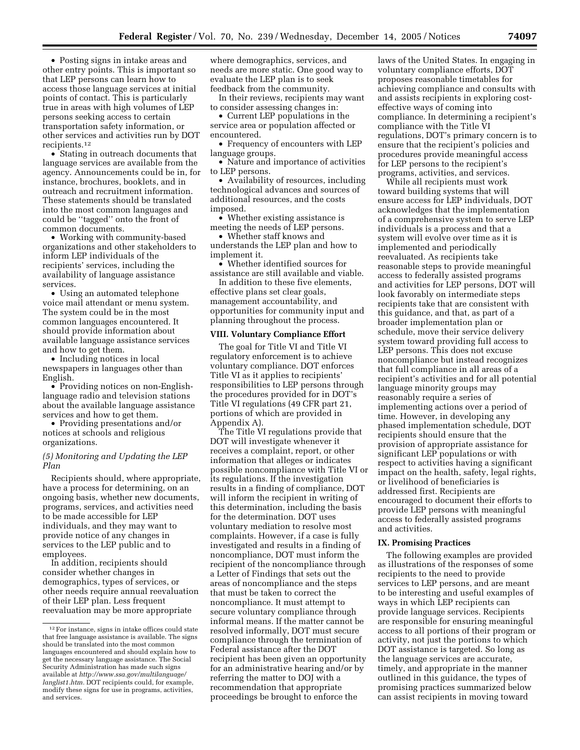• Posting signs in intake areas and other entry points. This is important so that LEP persons can learn how to access those language services at initial points of contact. This is particularly true in areas with high volumes of LEP persons seeking access to certain transportation safety information, or other services and activities run by DOT recipients.12

• Stating in outreach documents that language services are available from the agency. Announcements could be in, for instance, brochures, booklets, and in outreach and recruitment information. These statements should be translated into the most common languages and could be ''tagged'' onto the front of common documents.

• Working with community-based organizations and other stakeholders to inform LEP individuals of the recipients' services, including the availability of language assistance services.

• Using an automated telephone voice mail attendant or menu system. The system could be in the most common languages encountered. It should provide information about available language assistance services and how to get them.

• Including notices in local newspapers in languages other than English.

• Providing notices on non-Englishlanguage radio and television stations about the available language assistance services and how to get them.

• Providing presentations and/or notices at schools and religious organizations.

# *(5) Monitoring and Updating the LEP Plan*

Recipients should, where appropriate, have a process for determining, on an ongoing basis, whether new documents, programs, services, and activities need to be made accessible for LEP individuals, and they may want to provide notice of any changes in services to the LEP public and to employees.

In addition, recipients should consider whether changes in demographics, types of services, or other needs require annual reevaluation of their LEP plan. Less frequent reevaluation may be more appropriate

where demographics, services, and needs are more static. One good way to evaluate the LEP plan is to seek feedback from the community.

In their reviews, recipients may want to consider assessing changes in:

• Current LEP populations in the service area or population affected or encountered.

• Frequency of encounters with LEP language groups.

• Nature and importance of activities to LEP persons.

• Availability of resources, including technological advances and sources of additional resources, and the costs imposed.

• Whether existing assistance is meeting the needs of LEP persons.

• Whether staff knows and understands the LEP plan and how to implement it.

• Whether identified sources for assistance are still available and viable.

In addition to these five elements, effective plans set clear goals, management accountability, and opportunities for community input and planning throughout the process.

### **VIII. Voluntary Compliance Effort**

The goal for Title VI and Title VI regulatory enforcement is to achieve voluntary compliance. DOT enforces Title VI as it applies to recipients' responsibilities to LEP persons through the procedures provided for in DOT's Title VI regulations (49 CFR part 21, portions of which are provided in Appendix A).

The Title VI regulations provide that DOT will investigate whenever it receives a complaint, report, or other information that alleges or indicates possible noncompliance with Title VI or its regulations. If the investigation results in a finding of compliance, DOT will inform the recipient in writing of this determination, including the basis for the determination. DOT uses voluntary mediation to resolve most complaints. However, if a case is fully investigated and results in a finding of noncompliance, DOT must inform the recipient of the noncompliance through a Letter of Findings that sets out the areas of noncompliance and the steps that must be taken to correct the noncompliance. It must attempt to secure voluntary compliance through informal means. If the matter cannot be resolved informally, DOT must secure compliance through the termination of Federal assistance after the DOT recipient has been given an opportunity for an administrative hearing and/or by referring the matter to DOJ with a recommendation that appropriate proceedings be brought to enforce the

laws of the United States. In engaging in voluntary compliance efforts, DOT proposes reasonable timetables for achieving compliance and consults with and assists recipients in exploring costeffective ways of coming into compliance. In determining a recipient's compliance with the Title VI regulations, DOT's primary concern is to ensure that the recipient's policies and procedures provide meaningful access for LEP persons to the recipient's programs, activities, and services.

While all recipients must work toward building systems that will ensure access for LEP individuals, DOT acknowledges that the implementation of a comprehensive system to serve LEP individuals is a process and that a system will evolve over time as it is implemented and periodically reevaluated. As recipients take reasonable steps to provide meaningful access to federally assisted programs and activities for LEP persons, DOT will look favorably on intermediate steps recipients take that are consistent with this guidance, and that, as part of a broader implementation plan or schedule, move their service delivery system toward providing full access to LEP persons. This does not excuse noncompliance but instead recognizes that full compliance in all areas of a recipient's activities and for all potential language minority groups may reasonably require a series of implementing actions over a period of time. However, in developing any phased implementation schedule, DOT recipients should ensure that the provision of appropriate assistance for significant LEP populations or with respect to activities having a significant impact on the health, safety, legal rights, or livelihood of beneficiaries is addressed first. Recipients are encouraged to document their efforts to provide LEP persons with meaningful access to federally assisted programs and activities.

# **IX. Promising Practices**

The following examples are provided as illustrations of the responses of some recipients to the need to provide services to LEP persons, and are meant to be interesting and useful examples of ways in which LEP recipients can provide language services. Recipients are responsible for ensuring meaningful access to all portions of their program or activity, not just the portions to which DOT assistance is targeted. So long as the language services are accurate, timely, and appropriate in the manner outlined in this guidance, the types of promising practices summarized below can assist recipients in moving toward

<sup>12</sup>For instance, signs in intake offices could state that free language assistance is available. The signs should be translated into the most common languages encountered and should explain how to get the necessary language assistance. The Social Security Administration has made such signs available at *http://www.ssa.gov/multilanguage/ langlist1.htm.* DOT recipients could, for example, modify these signs for use in programs, activities, and services.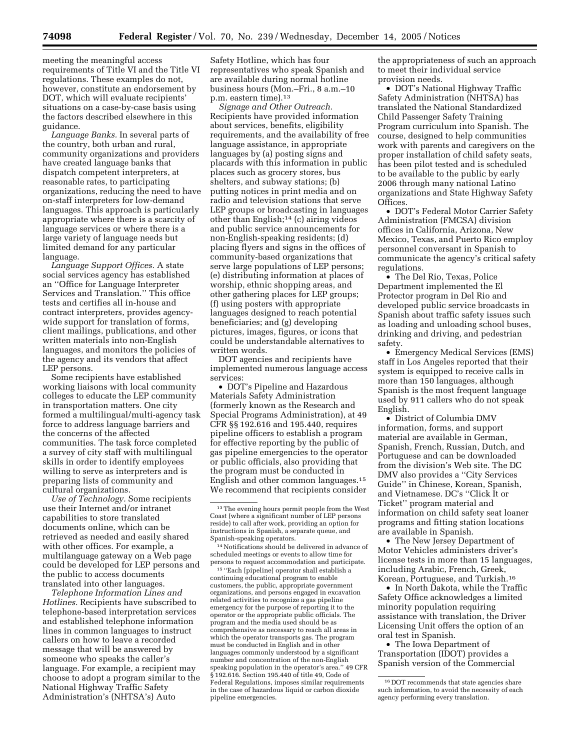meeting the meaningful access requirements of Title VI and the Title VI regulations. These examples do not, however, constitute an endorsement by DOT, which will evaluate recipients' situations on a case-by-case basis using the factors described elsewhere in this guidance.

*Language Banks.* In several parts of the country, both urban and rural, community organizations and providers have created language banks that dispatch competent interpreters, at reasonable rates, to participating organizations, reducing the need to have on-staff interpreters for low-demand languages. This approach is particularly appropriate where there is a scarcity of language services or where there is a large variety of language needs but limited demand for any particular language.

*Language Support Offices.* A state social services agency has established an ''Office for Language Interpreter Services and Translation.'' This office tests and certifies all in-house and contract interpreters, provides agencywide support for translation of forms, client mailings, publications, and other written materials into non-English languages, and monitors the policies of the agency and its vendors that affect LEP persons.

Some recipients have established working liaisons with local community colleges to educate the LEP community in transportation matters. One city formed a multilingual/multi-agency task force to address language barriers and the concerns of the affected communities. The task force completed a survey of city staff with multilingual skills in order to identify employees willing to serve as interpreters and is preparing lists of community and cultural organizations.

*Use of Technology.* Some recipients use their Internet and/or intranet capabilities to store translated documents online, which can be retrieved as needed and easily shared with other offices. For example, a multilanguage gateway on a Web page could be developed for LEP persons and the public to access documents translated into other languages.

*Telephone Information Lines and Hotlines.* Recipients have subscribed to telephone-based interpretation services and established telephone information lines in common languages to instruct callers on how to leave a recorded message that will be answered by someone who speaks the caller's language. For example, a recipient may choose to adopt a program similar to the National Highway Traffic Safety Administration's (NHTSA's) Auto

Safety Hotline, which has four representatives who speak Spanish and are available during normal hotline business hours (Mon.–Fri., 8 a.m.–10 p.m. eastern time).13

*Signage and Other Outreach.*  Recipients have provided information about services, benefits, eligibility requirements, and the availability of free language assistance, in appropriate languages by (a) posting signs and placards with this information in public places such as grocery stores, bus shelters, and subway stations; (b) putting notices in print media and on radio and television stations that serve LEP groups or broadcasting in languages other than English;14 (c) airing videos and public service announcements for non-English-speaking residents; (d) placing flyers and signs in the offices of community-based organizations that serve large populations of LEP persons; (e) distributing information at places of worship, ethnic shopping areas, and other gathering places for LEP groups; (f) using posters with appropriate languages designed to reach potential beneficiaries; and (g) developing pictures, images, figures, or icons that could be understandable alternatives to written words.

DOT agencies and recipients have implemented numerous language access services:

• DOT's Pipeline and Hazardous Materials Safety Administration (formerly known as the Research and Special Programs Administration), at 49 CFR §§ 192.616 and 195.440, requires pipeline officers to establish a program for effective reporting by the public of gas pipeline emergencies to the operator or public officials, also providing that the program must be conducted in English and other common languages.15 We recommend that recipients consider

14Notifications should be delivered in advance of scheduled meetings or events to allow time for persons to request accommodation and participate.

15 ''Each [pipeline] operator shall establish a continuing educational program to enable customers, the public, appropriate government organizations, and persons engaged in excavation related activities to recognize a gas pipeline emergency for the purpose of reporting it to the operator or the appropriate public officials. The program and the media used should be as comprehensive as necessary to reach all areas in which the operator transports gas. The program must be conducted in English and in other languages commonly understood by a significant number and concentration of the non-English speaking population in the operator's area.'' 49 CFR § 192.616. Section 195.440 of title 49, Code of Federal Regulations, imposes similar requirements in the case of hazardous liquid or carbon dioxide pipeline emergencies.

the appropriateness of such an approach to meet their individual service provision needs.

• DOT's National Highway Traffic Safety Administration (NHTSA) has translated the National Standardized Child Passenger Safety Training Program curriculum into Spanish. The course, designed to help communities work with parents and caregivers on the proper installation of child safety seats, has been pilot tested and is scheduled to be available to the public by early 2006 through many national Latino organizations and State Highway Safety **Offices** 

• DOT's Federal Motor Carrier Safety Administration (FMCSA) division offices in California, Arizona, New Mexico, Texas, and Puerto Rico employ personnel conversant in Spanish to communicate the agency's critical safety regulations.

• The Del Rio, Texas, Police Department implemented the El Protector program in Del Rio and developed public service broadcasts in Spanish about traffic safety issues such as loading and unloading school buses, drinking and driving, and pedestrian safety.

• Emergency Medical Services (EMS) staff in Los Angeles reported that their system is equipped to receive calls in more than 150 languages, although Spanish is the most frequent language used by 911 callers who do not speak English.

• District of Columbia DMV information, forms, and support material are available in German, Spanish, French, Russian, Dutch, and Portuguese and can be downloaded from the division's Web site. The DC DMV also provides a ''City Services Guide'' in Chinese, Korean, Spanish, and Vietnamese. DC's ''Click It or Ticket'' program material and information on child safety seat loaner programs and fitting station locations are available in Spanish.

• The New Jersey Department of Motor Vehicles administers driver's license tests in more than 15 languages, including Arabic, French, Greek, Korean, Portuguese, and Turkish.16

• In North Dakota, while the Traffic Safety Office acknowledges a limited minority population requiring assistance with translation, the Driver Licensing Unit offers the option of an oral test in Spanish.

• The Iowa Department of Transportation (IDOT) provides a Spanish version of the Commercial

<sup>&</sup>lt;sup>13</sup>The evening hours permit people from the West Coast (where a significant number of LEP persons reside) to call after work, providing an option for instructions in Spanish, a separate queue, and Spanish-speaking operators.

<sup>16</sup> DOT recommends that state agencies share such information, to avoid the necessity of each agency performing every translation.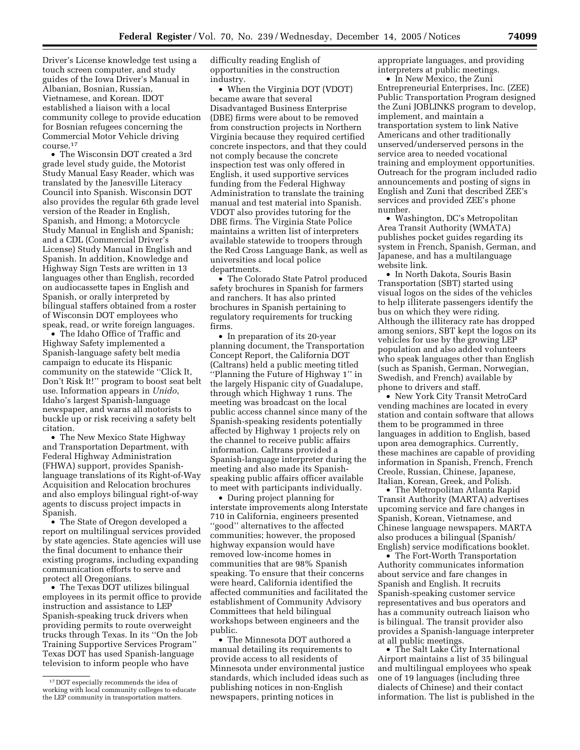Driver's License knowledge test using a touch screen computer, and study guides of the Iowa Driver's Manual in Albanian, Bosnian, Russian, Vietnamese, and Korean. IDOT established a liaison with a local community college to provide education for Bosnian refugees concerning the Commercial Motor Vehicle driving course.17

• The Wisconsin DOT created a 3rd grade level study guide, the Motorist Study Manual Easy Reader, which was translated by the Janesville Literacy Council into Spanish. Wisconsin DOT also provides the regular 6th grade level version of the Reader in English, Spanish, and Hmong; a Motorcycle Study Manual in English and Spanish; and a CDL (Commercial Driver's License) Study Manual in English and Spanish. In addition, Knowledge and Highway Sign Tests are written in 13 languages other than English, recorded on audiocassette tapes in English and Spanish, or orally interpreted by bilingual staffers obtained from a roster of Wisconsin DOT employees who speak, read, or write foreign languages.

• The Idaho Office of Traffic and Highway Safety implemented a Spanish-language safety belt media campaign to educate its Hispanic community on the statewide ''Click It, Don't Risk It!'' program to boost seat belt use. Information appears in *Unido*, Idaho's largest Spanish-language newspaper, and warns all motorists to buckle up or risk receiving a safety belt citation.

• The New Mexico State Highway and Transportation Department, with Federal Highway Administration (FHWA) support, provides Spanishlanguage translations of its Right-of-Way Acquisition and Relocation brochures and also employs bilingual right-of-way agents to discuss project impacts in Spanish.

• The State of Oregon developed a report on multilingual services provided by state agencies. State agencies will use the final document to enhance their existing programs, including expanding communication efforts to serve and protect all Oregonians.

• The Texas DOT utilizes bilingual employees in its permit office to provide instruction and assistance to LEP Spanish-speaking truck drivers when providing permits to route overweight trucks through Texas. In its ''On the Job Training Supportive Services Program'' Texas DOT has used Spanish-language television to inform people who have

difficulty reading English of opportunities in the construction industry.

• When the Virginia DOT (VDOT) became aware that several Disadvantaged Business Enterprise (DBE) firms were about to be removed from construction projects in Northern Virginia because they required certified concrete inspectors, and that they could not comply because the concrete inspection test was only offered in English, it used supportive services funding from the Federal Highway Administration to translate the training manual and test material into Spanish. VDOT also provides tutoring for the DBE firms. The Virginia State Police maintains a written list of interpreters available statewide to troopers through the Red Cross Language Bank, as well as universities and local police departments.

• The Colorado State Patrol produced safety brochures in Spanish for farmers and ranchers. It has also printed brochures in Spanish pertaining to regulatory requirements for trucking firms.

• In preparation of its 20-year planning document, the Transportation Concept Report, the California DOT (Caltrans) held a public meeting titled ''Planning the Future of Highway 1'' in the largely Hispanic city of Guadalupe, through which Highway 1 runs. The meeting was broadcast on the local public access channel since many of the Spanish-speaking residents potentially affected by Highway 1 projects rely on the channel to receive public affairs information. Caltrans provided a Spanish-language interpreter during the meeting and also made its Spanishspeaking public affairs officer available to meet with participants individually.

• During project planning for interstate improvements along Interstate 710 in California, engineers presented ''good'' alternatives to the affected communities; however, the proposed highway expansion would have removed low-income homes in communities that are 98% Spanish speaking. To ensure that their concerns were heard, California identified the affected communities and facilitated the establishment of Community Advisory Committees that held bilingual workshops between engineers and the public.

• The Minnesota DOT authored a manual detailing its requirements to provide access to all residents of Minnesota under environmental justice standards, which included ideas such as publishing notices in non-English newspapers, printing notices in

appropriate languages, and providing interpreters at public meetings.

• In New Mexico, the Zuni Entrepreneurial Enterprises, Inc. (ZEE) Public Transportation Program designed the Zuni JOBLINKS program to develop, implement, and maintain a transportation system to link Native Americans and other traditionally unserved/underserved persons in the service area to needed vocational training and employment opportunities. Outreach for the program included radio announcements and posting of signs in English and Zuni that described ZEE's services and provided ZEE's phone number.

• Washington, DC's Metropolitan Area Transit Authority (WMATA) publishes pocket guides regarding its system in French, Spanish, German, and Japanese, and has a multilanguage website link.

• In North Dakota, Souris Basin Transportation (SBT) started using visual logos on the sides of the vehicles to help illiterate passengers identify the bus on which they were riding. Although the illiteracy rate has dropped among seniors, SBT kept the logos on its vehicles for use by the growing LEP population and also added volunteers who speak languages other than English (such as Spanish, German, Norwegian, Swedish, and French) available by phone to drivers and staff.

• New York City Transit MetroCard vending machines are located in every station and contain software that allows them to be programmed in three languages in addition to English, based upon area demographics. Currently, these machines are capable of providing information in Spanish, French, French Creole, Russian, Chinese, Japanese, Italian, Korean, Greek, and Polish.

• The Metropolitan Atlanta Rapid Transit Authority (MARTA) advertises upcoming service and fare changes in Spanish, Korean, Vietnamese, and Chinese language newspapers. MARTA also produces a bilingual (Spanish/ English) service modifications booklet.

• The Fort-Worth Transportation Authority communicates information about service and fare changes in Spanish and English. It recruits Spanish-speaking customer service representatives and bus operators and has a community outreach liaison who is bilingual. The transit provider also provides a Spanish-language interpreter at all public meetings.

• The Salt Lake City International Airport maintains a list of 35 bilingual and multilingual employees who speak one of 19 languages (including three dialects of Chinese) and their contact information. The list is published in the

<sup>17</sup> DOT especially recommends the idea of working with local community colleges to educate the LEP community in transportation matters.